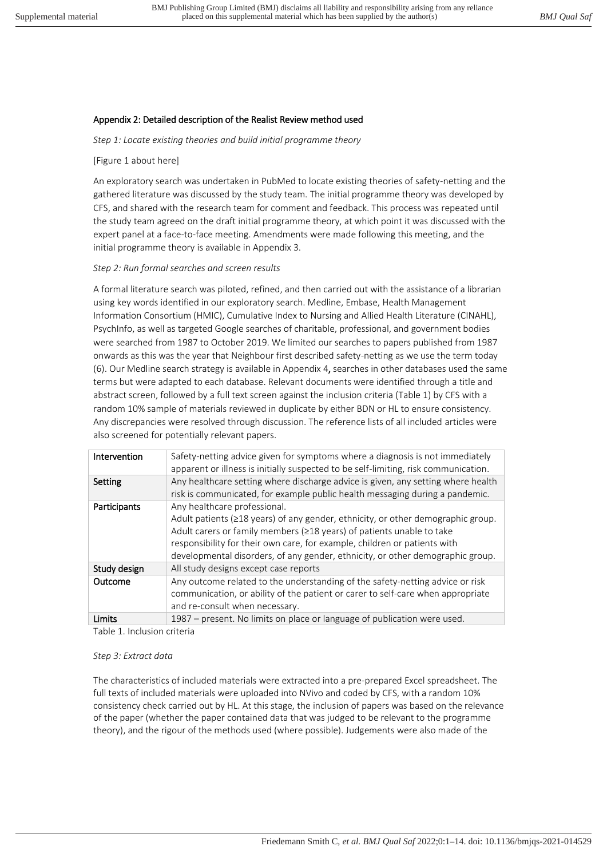## Appendix 2: Detailed description of the Realist Review method used

*Step 1: Locate existing theories and build initial programme theory* 

#### [Figure 1 about here]

An exploratory search was undertaken in PubMed to locate existing theories of safety-netting and the gathered literature was discussed by the study team. The initial programme theory was developed by CFS, and shared with the research team for comment and feedback. This process was repeated until the study team agreed on the draft initial programme theory, at which point it was discussed with the expert panel at a face-to-face meeting. Amendments were made following this meeting, and the initial programme theory is available in Appendix 3.

#### *Step 2: Run formal searches and screen results*

A formal literature search was piloted, refined, and then carried out with the assistance of a librarian using key words identified in our exploratory search. Medline, Embase, Health Management Information Consortium (HMIC), Cumulative Index to Nursing and Allied Health Literature (CINAHL), PsychInfo, as well as targeted Google searches of charitable, professional, and government bodies were searched from 1987 to October 2019. We limited our searches to papers published from 1987 onwards as this was the year that Neighbour first described safety-netting as we use the term today (6). Our Medline search strategy is available in Appendix 4, searches in other databases used the same terms but were adapted to each database. Relevant documents were identified through a title and abstract screen, followed by a full text screen against the inclusion criteria (Table 1) by CFS with a random 10% sample of materials reviewed in duplicate by either BDN or HL to ensure consistency. Any discrepancies were resolved through discussion. The reference lists of all included articles were also screened for potentially relevant papers.

| Intervention | Safety-netting advice given for symptoms where a diagnosis is not immediately<br>apparent or illness is initially suspected to be self-limiting, risk communication.                                                                                                                                                                                            |
|--------------|-----------------------------------------------------------------------------------------------------------------------------------------------------------------------------------------------------------------------------------------------------------------------------------------------------------------------------------------------------------------|
| Setting      | Any healthcare setting where discharge advice is given, any setting where health<br>risk is communicated, for example public health messaging during a pandemic.                                                                                                                                                                                                |
| Participants | Any healthcare professional.<br>Adult patients ( $\geq$ 18 years) of any gender, ethnicity, or other demographic group.<br>Adult carers or family members (≥18 years) of patients unable to take<br>responsibility for their own care, for example, children or patients with<br>developmental disorders, of any gender, ethnicity, or other demographic group. |
| Study design | All study designs except case reports                                                                                                                                                                                                                                                                                                                           |
| Outcome      | Any outcome related to the understanding of the safety-netting advice or risk<br>communication, or ability of the patient or carer to self-care when appropriate<br>and re-consult when necessary.                                                                                                                                                              |
| Limits       | 1987 – present. No limits on place or language of publication were used.                                                                                                                                                                                                                                                                                        |

Table 1. Inclusion criteria

#### *Step 3: Extract data*

The characteristics of included materials were extracted into a pre-prepared Excel spreadsheet. The full texts of included materials were uploaded into NVivo and coded by CFS, with a random 10% consistency check carried out by HL. At this stage, the inclusion of papers was based on the relevance of the paper (whether the paper contained data that was judged to be relevant to the programme theory), and the rigour of the methods used (where possible). Judgements were also made of the